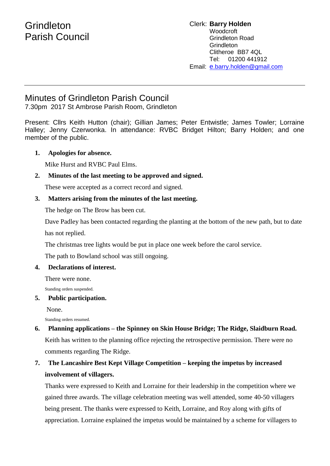# **Grindleton** Parish Council

# Minutes of Grindleton Parish Council

7.30pm 2017 St Ambrose Parish Room, Grindleton

Present: Cllrs Keith Hutton (chair); Gillian James; Peter Entwistle; James Towler; Lorraine Halley; Jenny Czerwonka. In attendance: RVBC Bridget Hilton; Barry Holden; and one member of the public.

#### **1. Apologies for absence.**

Mike Hurst and RVBC Paul Elms.

#### **2. Minutes of the last meeting to be approved and signed.**

These were accepted as a correct record and signed.

#### **3. Matters arising from the minutes of the last meeting.**

The hedge on The Brow has been cut.

Dave Padley has been contacted regarding the planting at the bottom of the new path, but to date has not replied.

The christmas tree lights would be put in place one week before the carol service.

The path to Bowland school was still ongoing.

#### **4. Declarations of interest.**

There were none.

Standing orders suspended.

#### **5. Public participation.**

None.

Standing orders resumed.

**6. Planning applications – the Spinney on Skin House Bridge; The Ridge, Slaidburn Road.** Keith has written to the planning office rejecting the retrospective permission. There were no comments regarding The Ridge.

# **7. The Lancashire Best Kept Village Competition – keeping the impetus by increased involvement of villagers.**

Thanks were expressed to Keith and Lorraine for their leadership in the competition where we gained three awards. The village celebration meeting was well attended, some 40-50 villagers being present. The thanks were expressed to Keith, Lorraine, and Roy along with gifts of appreciation. Lorraine explained the impetus would be maintained by a scheme for villagers to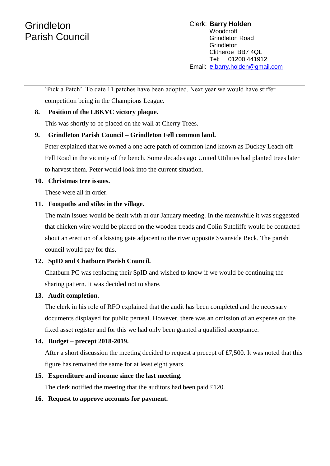# **Grindleton** Parish Council

'Pick a Patch'. To date 11 patches have been adopted. Next year we would have stiffer competition being in the Champions League.

## **8. Position of the LBKVC victory plaque.**

This was shortly to be placed on the wall at Cherry Trees.

# **9. Grindleton Parish Council – Grindleton Fell common land.**

Peter explained that we owned a one acre patch of common land known as Duckey Leach off Fell Road in the vicinity of the bench. Some decades ago United Utilities had planted trees later to harvest them. Peter would look into the current situation.

#### **10. Christmas tree issues.**

These were all in order.

## **11. Footpaths and stiles in the village.**

The main issues would be dealt with at our January meeting. In the meanwhile it was suggested that chicken wire would be placed on the wooden treads and Colin Sutcliffe would be contacted about an erection of a kissing gate adjacent to the river opposite Swanside Beck. The parish council would pay for this.

## **12. SpID and Chatburn Parish Council.**

Chatburn PC was replacing their SpID and wished to know if we would be continuing the sharing pattern. It was decided not to share.

## **13. Audit completion.**

The clerk in his role of RFO explained that the audit has been completed and the necessary documents displayed for public perusal. However, there was an omission of an expense on the fixed asset register and for this we had only been granted a qualified acceptance.

## **14. Budget – precept 2018-2019.**

After a short discussion the meeting decided to request a precept of £7,500. It was noted that this figure has remained the same for at least eight years.

## **15. Expenditure and income since the last meeting.**

The clerk notified the meeting that the auditors had been paid £120.

## **16. Request to approve accounts for payment.**